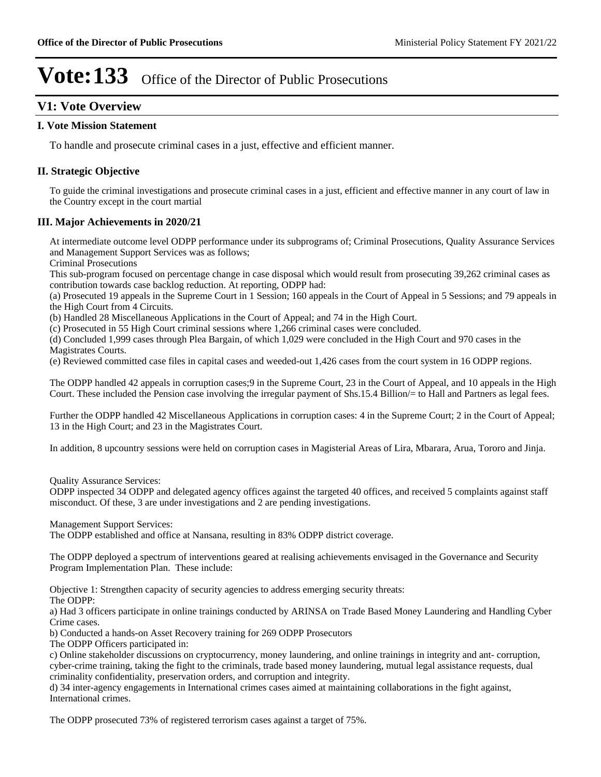### **V1: Vote Overview**

### **I. Vote Mission Statement**

To handle and prosecute criminal cases in a just, effective and efficient manner.

### **II. Strategic Objective**

To guide the criminal investigations and prosecute criminal cases in a just, efficient and effective manner in any court of law in the Country except in the court martial

### **III. Major Achievements in 2020/21**

At intermediate outcome level ODPP performance under its subprograms of; Criminal Prosecutions, Quality Assurance Services and Management Support Services was as follows;

Criminal Prosecutions

This sub-program focused on percentage change in case disposal which would result from prosecuting 39,262 criminal cases as contribution towards case backlog reduction. At reporting, ODPP had:

(a) Prosecuted 19 appeals in the Supreme Court in 1 Session; 160 appeals in the Court of Appeal in 5 Sessions; and 79 appeals in the High Court from 4 Circuits.

(b) Handled 28 Miscellaneous Applications in the Court of Appeal; and 74 in the High Court.

(c) Prosecuted in 55 High Court criminal sessions where 1,266 criminal cases were concluded.

(d) Concluded 1,999 cases through Plea Bargain, of which 1,029 were concluded in the High Court and 970 cases in the Magistrates Courts.

(e) Reviewed committed case files in capital cases and weeded-out 1,426 cases from the court system in 16 ODPP regions.

The ODPP handled 42 appeals in corruption cases;9 in the Supreme Court, 23 in the Court of Appeal, and 10 appeals in the High Court. These included the Pension case involving the irregular payment of Shs.15.4 Billion/= to Hall and Partners as legal fees.

Further the ODPP handled 42 Miscellaneous Applications in corruption cases: 4 in the Supreme Court; 2 in the Court of Appeal; 13 in the High Court; and 23 in the Magistrates Court.

In addition, 8 upcountry sessions were held on corruption cases in Magisterial Areas of Lira, Mbarara, Arua, Tororo and Jinja.

Quality Assurance Services:

ODPP inspected 34 ODPP and delegated agency offices against the targeted 40 offices, and received 5 complaints against staff misconduct. Of these, 3 are under investigations and 2 are pending investigations.

Management Support Services:

The ODPP established and office at Nansana, resulting in 83% ODPP district coverage.

The ODPP deployed a spectrum of interventions geared at realising achievements envisaged in the Governance and Security Program Implementation Plan. These include:

Objective 1: Strengthen capacity of security agencies to address emerging security threats:

The ODPP:

a) Had 3 officers participate in online trainings conducted by ARINSA on Trade Based Money Laundering and Handling Cyber Crime cases.

b) Conducted a hands-on Asset Recovery training for 269 ODPP Prosecutors

The ODPP Officers participated in:

c) Online stakeholder discussions on cryptocurrency, money laundering, and online trainings in integrity and ant- corruption, cyber-crime training, taking the fight to the criminals, trade based money laundering, mutual legal assistance requests, dual criminality confidentiality, preservation orders, and corruption and integrity.

d) 34 inter-agency engagements in International crimes cases aimed at maintaining collaborations in the fight against, International crimes.

The ODPP prosecuted 73% of registered terrorism cases against a target of 75%.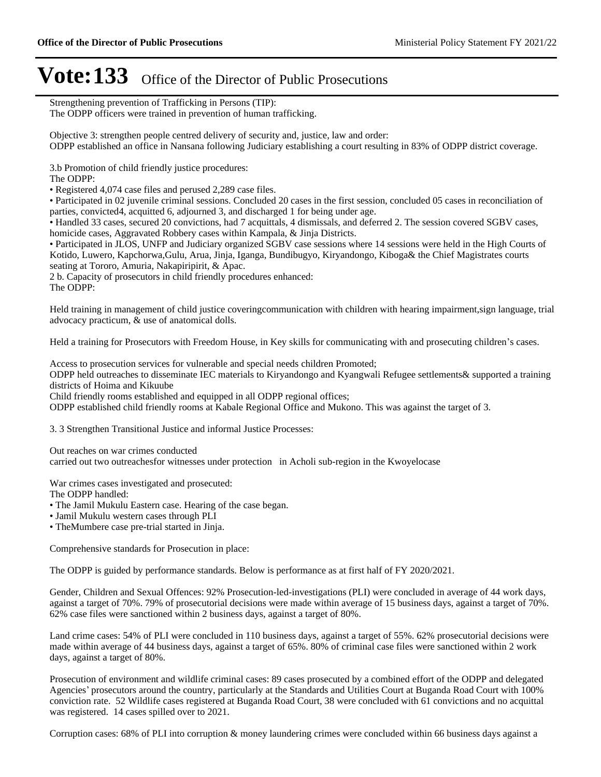Strengthening prevention of Trafficking in Persons (TIP): The ODPP officers were trained in prevention of human trafficking.

Objective 3: strengthen people centred delivery of security and, justice, law and order: ODPP established an office in Nansana following Judiciary establishing a court resulting in 83% of ODPP district coverage.

3.b Promotion of child friendly justice procedures:

The ODPP:

Registered 4,074 case files and perused 2,289 case files.

Participated in 02 juvenile criminal sessions. Concluded 20 cases in the first session, concluded 05 cases in reconciliation of parties, convicted4, acquitted 6, adjourned 3, and discharged 1 for being under age.

Handled 33 cases, secured 20 convictions, had 7 acquittals, 4 dismissals, and deferred 2. The session covered SGBV cases, homicide cases, Aggravated Robbery cases within Kampala, & Jinja Districts.

Participated in JLOS, UNFP and Judiciary organized SGBV case sessions where 14 sessions were held in the High Courts of Kotido, Luwero, Kapchorwa,Gulu, Arua, Jinja, Iganga, Bundibugyo, Kiryandongo, Kiboga& the Chief Magistrates courts seating at Tororo, Amuria, Nakapiripirit, & Apac.

2 b. Capacity of prosecutors in child friendly procedures enhanced:

The ODPP:

Held training in management of child justice coveringcommunication with children with hearing impairment,sign language, trial advocacy practicum, & use of anatomical dolls.

Held a training for Prosecutors with Freedom House, in Key skills for communicating with and prosecuting children's cases.

Access to prosecution services for vulnerable and special needs children Promoted;

ODPP held outreaches to disseminate IEC materials to Kiryandongo and Kyangwali Refugee settlements& supported a training districts of Hoima and Kikuube

Child friendly rooms established and equipped in all ODPP regional offices;

ODPP established child friendly rooms at Kabale Regional Office and Mukono. This was against the target of 3.

3. 3 Strengthen Transitional Justice and informal Justice Processes:

Out reaches on war crimes conducted

carried out two outreachesfor witnesses under protection in Acholi sub-region in the Kwoyelocase

War crimes cases investigated and prosecuted:

The ODPP handled:

The Jamil Mukulu Eastern case. Hearing of the case began.

Jamil Mukulu western cases through PLI

TheMumbere case pre-trial started in Jinja.

Comprehensive standards for Prosecution in place:

The ODPP is guided by performance standards. Below is performance as at first half of FY 2020/2021.

Gender, Children and Sexual Offences: 92% Prosecution-led-investigations (PLI) were concluded in average of 44 work days, against a target of 70%. 79% of prosecutorial decisions were made within average of 15 business days, against a target of 70%. 62% case files were sanctioned within 2 business days, against a target of 80%.

Land crime cases: 54% of PLI were concluded in 110 business days, against a target of 55%. 62% prosecutorial decisions were made within average of 44 business days, against a target of 65%. 80% of criminal case files were sanctioned within 2 work days, against a target of 80%.

Prosecution of environment and wildlife criminal cases: 89 cases prosecuted by a combined effort of the ODPP and delegated Agencies' prosecutors around the country, particularly at the Standards and Utilities Court at Buganda Road Court with 100% conviction rate. 52 Wildlife cases registered at Buganda Road Court, 38 were concluded with 61 convictions and no acquittal was registered. 14 cases spilled over to 2021.

Corruption cases: 68% of PLI into corruption & money laundering crimes were concluded within 66 business days against a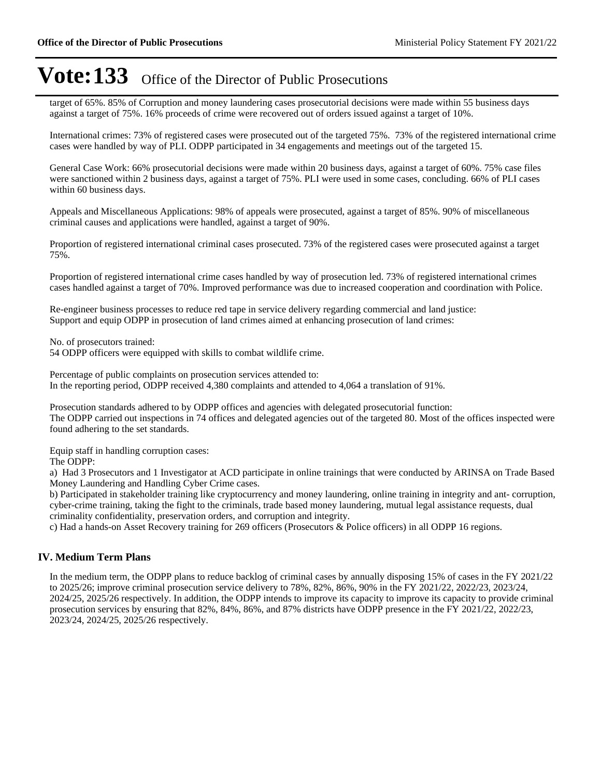target of 65%. 85% of Corruption and money laundering cases prosecutorial decisions were made within 55 business days against a target of 75%. 16% proceeds of crime were recovered out of orders issued against a target of 10%.

International crimes: 73% of registered cases were prosecuted out of the targeted 75%. 73% of the registered international crime cases were handled by way of PLI. ODPP participated in 34 engagements and meetings out of the targeted 15.

General Case Work: 66% prosecutorial decisions were made within 20 business days, against a target of 60%. 75% case files were sanctioned within 2 business days, against a target of 75%. PLI were used in some cases, concluding. 66% of PLI cases within 60 business days.

Appeals and Miscellaneous Applications: 98% of appeals were prosecuted, against a target of 85%. 90% of miscellaneous criminal causes and applications were handled, against a target of 90%.

Proportion of registered international criminal cases prosecuted. 73% of the registered cases were prosecuted against a target 75%.

Proportion of registered international crime cases handled by way of prosecution led. 73% of registered international crimes cases handled against a target of 70%. Improved performance was due to increased cooperation and coordination with Police.

Re-engineer business processes to reduce red tape in service delivery regarding commercial and land justice: Support and equip ODPP in prosecution of land crimes aimed at enhancing prosecution of land crimes:

No. of prosecutors trained:

54 ODPP officers were equipped with skills to combat wildlife crime.

Percentage of public complaints on prosecution services attended to: In the reporting period, ODPP received 4,380 complaints and attended to 4,064 a translation of 91%.

Prosecution standards adhered to by ODPP offices and agencies with delegated prosecutorial function: The ODPP carried out inspections in 74 offices and delegated agencies out of the targeted 80. Most of the offices inspected were found adhering to the set standards.

Equip staff in handling corruption cases:

The ODPP:

a) Had 3 Prosecutors and 1 Investigator at ACD participate in online trainings that were conducted by ARINSA on Trade Based Money Laundering and Handling Cyber Crime cases.

b) Participated in stakeholder training like cryptocurrency and money laundering, online training in integrity and ant- corruption, cyber-crime training, taking the fight to the criminals, trade based money laundering, mutual legal assistance requests, dual criminality confidentiality, preservation orders, and corruption and integrity.

c) Had a hands-on Asset Recovery training for 269 officers (Prosecutors & Police officers) in all ODPP 16 regions.

#### **IV. Medium Term Plans**

In the medium term, the ODPP plans to reduce backlog of criminal cases by annually disposing 15% of cases in the FY 2021/22 to 2025/26; improve criminal prosecution service delivery to 78%, 82%, 86%, 90% in the FY 2021/22, 2022/23, 2023/24, 2024/25, 2025/26 respectively. In addition, the ODPP intends to improve its capacity to improve its capacity to provide criminal prosecution services by ensuring that 82%, 84%, 86%, and 87% districts have ODPP presence in the FY 2021/22, 2022/23, 2023/24, 2024/25, 2025/26 respectively.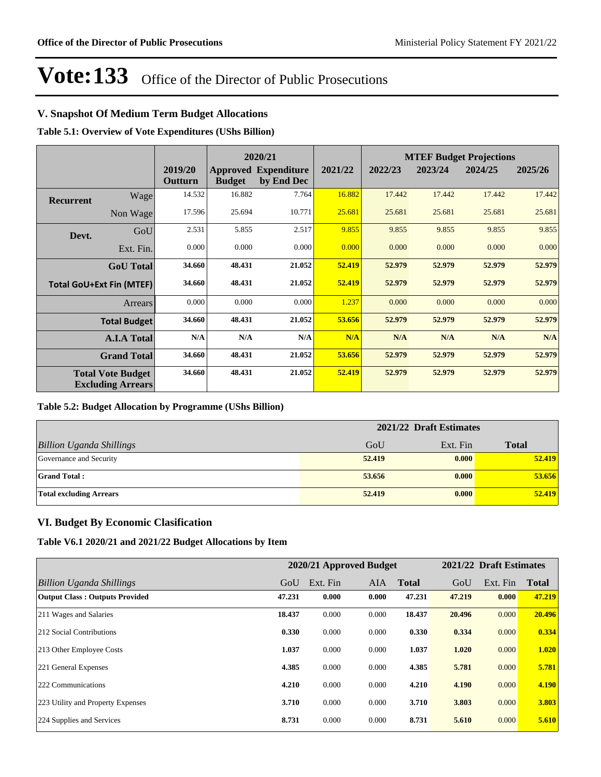### **V. Snapshot Of Medium Term Budget Allocations**

**Table 5.1: Overview of Vote Expenditures (UShs Billion)**

|           |                                                      |                    | 2020/21       |                                           | <b>MTEF Budget Projections</b> |         |         |         |         |
|-----------|------------------------------------------------------|--------------------|---------------|-------------------------------------------|--------------------------------|---------|---------|---------|---------|
|           |                                                      | 2019/20<br>Outturn | <b>Budget</b> | <b>Approved Expenditure</b><br>by End Dec | 2021/22                        | 2022/23 | 2023/24 | 2024/25 | 2025/26 |
| Recurrent | Wage                                                 | 14.532             | 16.882        | 7.764                                     | 16.882                         | 17.442  | 17.442  | 17.442  | 17.442  |
|           | Non Wage                                             | 17.596             | 25.694        | 10.771                                    | 25.681                         | 25.681  | 25.681  | 25.681  | 25.681  |
| Devt.     | GoU                                                  | 2.531              | 5.855         | 2.517                                     | 9.855                          | 9.855   | 9.855   | 9.855   | 9.855   |
|           | Ext. Fin.                                            | 0.000              | 0.000         | 0.000                                     | 0.000                          | 0.000   | 0.000   | 0.000   | 0.000   |
|           | <b>GoU</b> Total                                     | 34.660             | 48.431        | 21.052                                    | 52.419                         | 52.979  | 52.979  | 52.979  | 52.979  |
|           | <b>Total GoU+Ext Fin (MTEF)</b>                      | 34.660             | 48.431        | 21.052                                    | 52.419                         | 52.979  | 52.979  | 52.979  | 52.979  |
|           | <b>Arrears</b>                                       | 0.000              | 0.000         | 0.000                                     | 1.237                          | 0.000   | 0.000   | 0.000   | 0.000   |
|           | <b>Total Budget</b>                                  | 34.660             | 48.431        | 21.052                                    | 53.656                         | 52.979  | 52.979  | 52.979  | 52.979  |
|           | <b>A.I.A Total</b>                                   | N/A                | N/A           | N/A                                       | N/A                            | N/A     | N/A     | N/A     | N/A     |
|           | <b>Grand Total</b>                                   | 34.660             | 48.431        | 21.052                                    | 53.656                         | 52.979  | 52.979  | 52.979  | 52.979  |
|           | <b>Total Vote Budget</b><br><b>Excluding Arrears</b> | 34.660             | 48.431        | 21.052                                    | 52.419                         | 52.979  | 52.979  | 52.979  | 52.979  |

#### **Table 5.2: Budget Allocation by Programme (UShs Billion)**

|                                 | 2021/22 Draft Estimates |          |              |  |  |
|---------------------------------|-------------------------|----------|--------------|--|--|
| <b>Billion Uganda Shillings</b> | GoU                     | Ext. Fin | <b>Total</b> |  |  |
| Governance and Security         | 52,419                  | 0.000    | 52.419       |  |  |
| <b>Grand Total:</b>             | 53.656                  | 0.000    | 53.656       |  |  |
| <b>Total excluding Arrears</b>  | 52,419                  | 0.000    | 52.419       |  |  |

### **VI. Budget By Economic Clasification**

**Table V6.1 2020/21 and 2021/22 Budget Allocations by Item**

|                                       | 2020/21 Approved Budget |          |            |              | 2021/22 Draft Estimates |          |              |
|---------------------------------------|-------------------------|----------|------------|--------------|-------------------------|----------|--------------|
| Billion Uganda Shillings              | GoU                     | Ext. Fin | <b>AIA</b> | <b>Total</b> | GoU                     | Ext. Fin | <b>Total</b> |
| <b>Output Class: Outputs Provided</b> | 47.231                  | 0.000    | 0.000      | 47.231       | 47.219                  | 0.000    | 47.219       |
| 211 Wages and Salaries                | 18.437                  | 0.000    | 0.000      | 18.437       | 20.496                  | 0.000    | 20.496       |
| 212 Social Contributions              | 0.330                   | 0.000    | 0.000      | 0.330        | 0.334                   | 0.000    | 0.334        |
| 213 Other Employee Costs              | 1.037                   | 0.000    | 0.000      | 1.037        | 1.020                   | 0.000    | 1.020        |
| 221 General Expenses                  | 4.385                   | 0.000    | 0.000      | 4.385        | 5.781                   | 0.000    | 5.781        |
| 222 Communications                    | 4.210                   | 0.000    | 0.000      | 4.210        | 4.190                   | 0.000    | 4.190        |
| 223 Utility and Property Expenses     | 3.710                   | 0.000    | 0.000      | 3.710        | 3.803                   | 0.000    | 3.803        |
| 224 Supplies and Services             | 8.731                   | 0.000    | 0.000      | 8.731        | 5.610                   | 0.000    | 5.610        |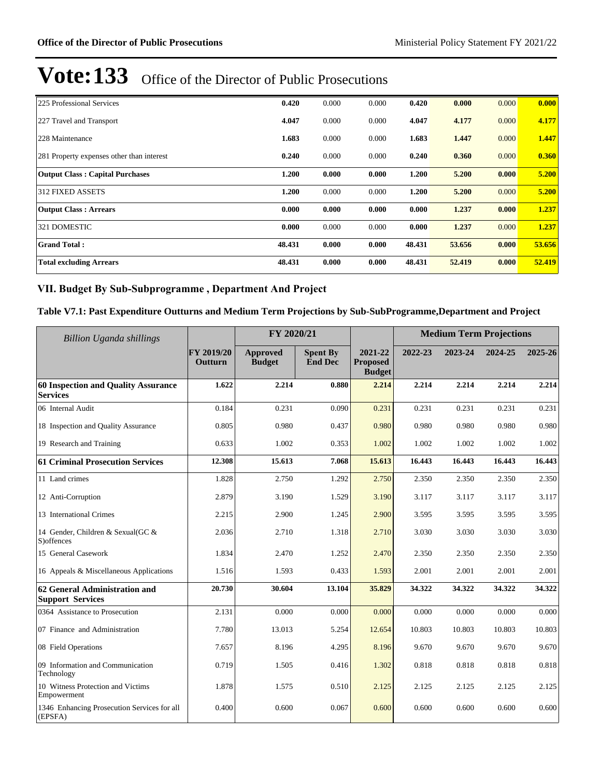| 225 Professional Services                 | 0.420  | 0.000 | 0.000 | 0.420  | 0.000  | 0.000 | 0.000  |
|-------------------------------------------|--------|-------|-------|--------|--------|-------|--------|
| 227 Travel and Transport                  | 4.047  | 0.000 | 0.000 | 4.047  | 4.177  | 0.000 | 4.177  |
| 228 Maintenance                           | 1.683  | 0.000 | 0.000 | 1.683  | 1.447  | 0.000 | 1.447  |
| 281 Property expenses other than interest | 0.240  | 0.000 | 0.000 | 0.240  | 0.360  | 0.000 | 0.360  |
| <b>Output Class: Capital Purchases</b>    | 1.200  | 0.000 | 0.000 | 1.200  | 5.200  | 0.000 | 5.200  |
| <b>312 FIXED ASSETS</b>                   | 1.200  | 0.000 | 0.000 | 1.200  | 5.200  | 0.000 | 5.200  |
| <b>Output Class: Arrears</b>              | 0.000  | 0.000 | 0.000 | 0.000  | 1.237  | 0.000 | 1.237  |
| 321 DOMESTIC                              | 0.000  | 0.000 | 0.000 | 0.000  | 1.237  | 0.000 | 1.237  |
| <b>Grand Total:</b>                       | 48.431 | 0.000 | 0.000 | 48.431 | 53.656 | 0.000 | 53.656 |
| <b>Total excluding Arrears</b>            | 48.431 | 0.000 | 0.000 | 48.431 | 52.419 | 0.000 | 52.419 |

### VII. Budget By Sub-Subprogramme, Department And Project

### **Table V7.1: Past Expenditure Outturns and Medium Term Projections by Sub-SubProgramme,Department and Project**

| <b>Billion Uganda shillings</b>                               | FY 2020/21            |                                  |                                   | <b>Medium Term Projections</b>              |         |         |         |         |
|---------------------------------------------------------------|-----------------------|----------------------------------|-----------------------------------|---------------------------------------------|---------|---------|---------|---------|
|                                                               | FY 2019/20<br>Outturn | <b>Approved</b><br><b>Budget</b> | <b>Spent By</b><br><b>End Dec</b> | 2021-22<br><b>Proposed</b><br><b>Budget</b> | 2022-23 | 2023-24 | 2024-25 | 2025-26 |
| <b>60 Inspection and Quality Assurance</b><br><b>Services</b> | 1.622                 | 2.214                            | 0.880                             | 2.214                                       | 2.214   | 2.214   | 2.214   | 2.214   |
| 06 Internal Audit                                             | 0.184                 | 0.231                            | 0.090                             | 0.231                                       | 0.231   | 0.231   | 0.231   | 0.231   |
| 18 Inspection and Quality Assurance                           | 0.805                 | 0.980                            | 0.437                             | 0.980                                       | 0.980   | 0.980   | 0.980   | 0.980   |
| 19 Research and Training                                      | 0.633                 | 1.002                            | 0.353                             | 1.002                                       | 1.002   | 1.002   | 1.002   | 1.002   |
| <b>61 Criminal Prosecution Services</b>                       | 12.308                | 15.613                           | 7.068                             | 15.613                                      | 16.443  | 16.443  | 16.443  | 16.443  |
| 11 Land crimes                                                | 1.828                 | 2.750                            | 1.292                             | 2.750                                       | 2.350   | 2.350   | 2.350   | 2.350   |
| 12 Anti-Corruption                                            | 2.879                 | 3.190                            | 1.529                             | 3.190                                       | 3.117   | 3.117   | 3.117   | 3.117   |
| 13 International Crimes                                       | 2.215                 | 2.900                            | 1.245                             | 2.900                                       | 3.595   | 3.595   | 3.595   | 3.595   |
| 14 Gender, Children & Sexual(GC &<br>S) offences              | 2.036                 | 2.710                            | 1.318                             | 2.710                                       | 3.030   | 3.030   | 3.030   | 3.030   |
| 15 General Casework                                           | 1.834                 | 2.470                            | 1.252                             | 2.470                                       | 2.350   | 2.350   | 2.350   | 2.350   |
| 16 Appeals & Miscellaneous Applications                       | 1.516                 | 1.593                            | 0.433                             | 1.593                                       | 2.001   | 2.001   | 2.001   | 2.001   |
| 62 General Administration and<br><b>Support Services</b>      | 20.730                | 30.604                           | 13.104                            | 35.829                                      | 34.322  | 34.322  | 34.322  | 34.322  |
| 0364 Assistance to Prosecution                                | 2.131                 | 0.000                            | 0.000                             | 0.000                                       | 0.000   | 0.000   | 0.000   | 0.000   |
| 07 Finance and Administration                                 | 7.780                 | 13.013                           | 5.254                             | 12.654                                      | 10.803  | 10.803  | 10.803  | 10.803  |
| 08 Field Operations                                           | 7.657                 | 8.196                            | 4.295                             | 8.196                                       | 9.670   | 9.670   | 9.670   | 9.670   |
| 09 Information and Communication<br>Technology                | 0.719                 | 1.505                            | 0.416                             | 1.302                                       | 0.818   | 0.818   | 0.818   | 0.818   |
| 10 Witness Protection and Victims<br>Empowerment              | 1.878                 | 1.575                            | 0.510                             | 2.125                                       | 2.125   | 2.125   | 2.125   | 2.125   |
| 1346 Enhancing Prosecution Services for all<br>(EPSFA)        | 0.400                 | 0.600                            | 0.067                             | 0.600                                       | 0.600   | 0.600   | 0.600   | 0.600   |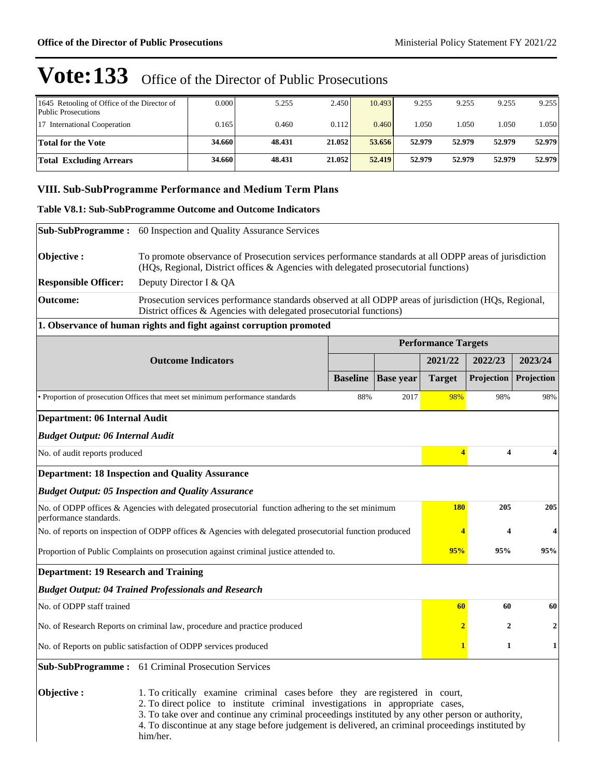| 1645 Retooling of Office of the Director of<br>Public Prosecutions | 0.000  | 5.255  | 2.450  | 10.493 | 9.255  | 9.255  | 9.255  | 9.255  |
|--------------------------------------------------------------------|--------|--------|--------|--------|--------|--------|--------|--------|
| 17 International Cooperation                                       | 0.165  | 0.460  | 0.112  | 0.460  | 1.050  | 1.050  | 1.050  | 1.050  |
| <b>Total for the Vote</b>                                          | 34.660 | 48.431 | 21.052 | 53.656 | 52.979 | 52.979 | 52.979 | 52.979 |
| <b>Total Excluding Arrears</b>                                     | 34.660 | 48.431 | 21.052 | 52.419 | 52.979 | 52.979 | 52.979 | 52.979 |

### **VIII. Sub-SubProgramme Performance and Medium Term Plans**

### **Table V8.1: Sub-SubProgramme Outcome and Outcome Indicators**

| <b>Sub-SubProgramme:</b>                                                                                                                                                                                                                                                                                                                                                                              | 60 Inspection and Quality Assurance Services                                                                                                                                                 |                 |                  |                            |                              |                  |  |  |
|-------------------------------------------------------------------------------------------------------------------------------------------------------------------------------------------------------------------------------------------------------------------------------------------------------------------------------------------------------------------------------------------------------|----------------------------------------------------------------------------------------------------------------------------------------------------------------------------------------------|-----------------|------------------|----------------------------|------------------------------|------------------|--|--|
| Objective:                                                                                                                                                                                                                                                                                                                                                                                            | To promote observance of Prosecution services performance standards at all ODPP areas of jurisdiction<br>(HQs, Regional, District offices & Agencies with delegated prosecutorial functions) |                 |                  |                            |                              |                  |  |  |
| <b>Responsible Officer:</b>                                                                                                                                                                                                                                                                                                                                                                           | Deputy Director I & QA                                                                                                                                                                       |                 |                  |                            |                              |                  |  |  |
| <b>Outcome:</b>                                                                                                                                                                                                                                                                                                                                                                                       | Prosecution services performance standards observed at all ODPP areas of jurisdiction (HQs, Regional,<br>District offices & Agencies with delegated prosecutorial functions)                 |                 |                  |                            |                              |                  |  |  |
|                                                                                                                                                                                                                                                                                                                                                                                                       | 1. Observance of human rights and fight against corruption promoted                                                                                                                          |                 |                  |                            |                              |                  |  |  |
|                                                                                                                                                                                                                                                                                                                                                                                                       |                                                                                                                                                                                              |                 |                  | <b>Performance Targets</b> |                              |                  |  |  |
|                                                                                                                                                                                                                                                                                                                                                                                                       | <b>Outcome Indicators</b>                                                                                                                                                                    |                 |                  | 2021/22                    | 2022/23                      | 2023/24          |  |  |
|                                                                                                                                                                                                                                                                                                                                                                                                       |                                                                                                                                                                                              | <b>Baseline</b> | <b>Base year</b> | <b>Target</b>              | Projection                   | Projection       |  |  |
|                                                                                                                                                                                                                                                                                                                                                                                                       | • Proportion of prosecution Offices that meet set minimum performance standards                                                                                                              | 88%             | 2017             | 98%                        | 98%                          | 98%              |  |  |
| Department: 06 Internal Audit                                                                                                                                                                                                                                                                                                                                                                         |                                                                                                                                                                                              |                 |                  |                            |                              |                  |  |  |
| <b>Budget Output: 06 Internal Audit</b>                                                                                                                                                                                                                                                                                                                                                               |                                                                                                                                                                                              |                 |                  |                            |                              |                  |  |  |
| No. of audit reports produced                                                                                                                                                                                                                                                                                                                                                                         |                                                                                                                                                                                              |                 |                  |                            | 4<br>$\overline{\mathbf{4}}$ | 4                |  |  |
|                                                                                                                                                                                                                                                                                                                                                                                                       | <b>Department: 18 Inspection and Quality Assurance</b>                                                                                                                                       |                 |                  |                            |                              |                  |  |  |
|                                                                                                                                                                                                                                                                                                                                                                                                       | <b>Budget Output: 05 Inspection and Quality Assurance</b>                                                                                                                                    |                 |                  |                            |                              |                  |  |  |
| performance standards.                                                                                                                                                                                                                                                                                                                                                                                | No. of ODPP offices & Agencies with delegated prosecutorial function adhering to the set minimum                                                                                             |                 |                  | <b>180</b>                 | 205                          | 205              |  |  |
|                                                                                                                                                                                                                                                                                                                                                                                                       | No. of reports on inspection of ODPP offices & Agencies with delegated prosecutorial function produced                                                                                       |                 |                  | 4                          | 4                            | 4                |  |  |
|                                                                                                                                                                                                                                                                                                                                                                                                       | Proportion of Public Complaints on prosecution against criminal justice attended to.                                                                                                         |                 |                  | 95%                        | 95%                          | 95%              |  |  |
| <b>Department: 19 Research and Training</b>                                                                                                                                                                                                                                                                                                                                                           |                                                                                                                                                                                              |                 |                  |                            |                              |                  |  |  |
|                                                                                                                                                                                                                                                                                                                                                                                                       | <b>Budget Output: 04 Trained Professionals and Research</b>                                                                                                                                  |                 |                  |                            |                              |                  |  |  |
| No. of ODPP staff trained                                                                                                                                                                                                                                                                                                                                                                             |                                                                                                                                                                                              |                 |                  | 60                         | 60                           | 60               |  |  |
|                                                                                                                                                                                                                                                                                                                                                                                                       | No. of Research Reports on criminal law, procedure and practice produced                                                                                                                     |                 |                  | $\overline{\mathbf{2}}$    | $\boldsymbol{2}$             | $\boldsymbol{2}$ |  |  |
|                                                                                                                                                                                                                                                                                                                                                                                                       | No. of Reports on public satisfaction of ODPP services produced                                                                                                                              |                 |                  |                            | 1                            | 1                |  |  |
|                                                                                                                                                                                                                                                                                                                                                                                                       | <b>Sub-SubProgramme:</b> 61 Criminal Prosecution Services                                                                                                                                    |                 |                  |                            |                              |                  |  |  |
| Objective:<br>1. To critically examine criminal cases before they are registered in court,<br>2. To direct police to institute criminal investigations in appropriate cases,<br>3. To take over and continue any criminal proceedings instituted by any other person or authority,<br>4. To discontinue at any stage before judgement is delivered, an criminal proceedings instituted by<br>him/her. |                                                                                                                                                                                              |                 |                  |                            |                              |                  |  |  |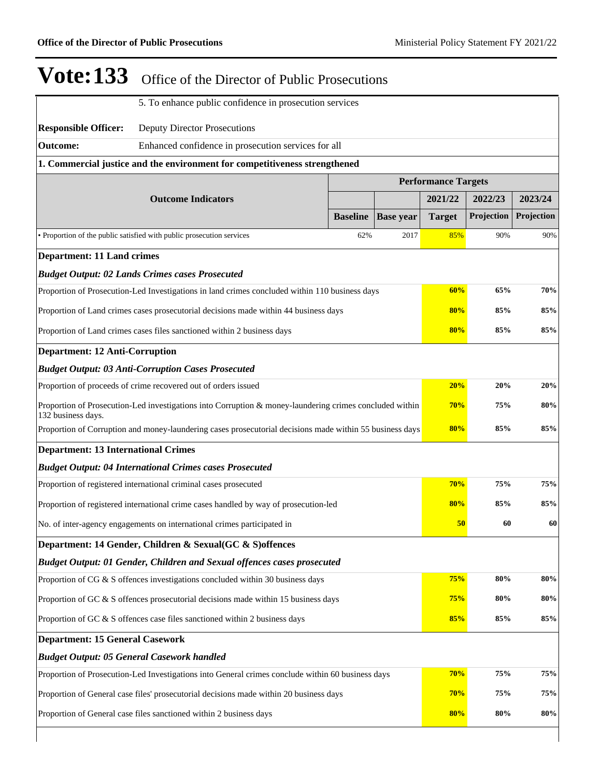| <b>Vote:133</b>                                                                                                               | Office of the Director of Public Prosecutions                                                            |                 |                  |               |            |            |  |
|-------------------------------------------------------------------------------------------------------------------------------|----------------------------------------------------------------------------------------------------------|-----------------|------------------|---------------|------------|------------|--|
|                                                                                                                               | 5. To enhance public confidence in prosecution services                                                  |                 |                  |               |            |            |  |
| <b>Responsible Officer:</b>                                                                                                   | <b>Deputy Director Prosecutions</b>                                                                      |                 |                  |               |            |            |  |
| Outcome:                                                                                                                      | Enhanced confidence in prosecution services for all                                                      |                 |                  |               |            |            |  |
|                                                                                                                               | 1. Commercial justice and the environment for competitiveness strengthened                               |                 |                  |               |            |            |  |
|                                                                                                                               | <b>Performance Targets</b>                                                                               |                 |                  |               |            |            |  |
|                                                                                                                               | <b>Outcome Indicators</b>                                                                                |                 |                  | 2021/22       | 2022/23    | 2023/24    |  |
|                                                                                                                               |                                                                                                          | <b>Baseline</b> | <b>Base year</b> | <b>Target</b> | Projection | Projection |  |
|                                                                                                                               | • Proportion of the public satisfied with public prosecution services                                    | 62%             | 2017             | 85%           | 90%        | 90%        |  |
| <b>Department: 11 Land crimes</b>                                                                                             |                                                                                                          |                 |                  |               |            |            |  |
|                                                                                                                               | <b>Budget Output: 02 Lands Crimes cases Prosecuted</b>                                                   |                 |                  |               |            |            |  |
|                                                                                                                               | Proportion of Prosecution-Led Investigations in land crimes concluded within 110 business days           |                 |                  | 60%           | 65%        | 70%        |  |
|                                                                                                                               | Proportion of Land crimes cases prosecutorial decisions made within 44 business days                     |                 |                  | 80%           | 85%        | 85%        |  |
| Proportion of Land crimes cases files sanctioned within 2 business days                                                       |                                                                                                          |                 |                  |               | 80%<br>85% | 85%        |  |
| <b>Department: 12 Anti-Corruption</b>                                                                                         |                                                                                                          |                 |                  |               |            |            |  |
|                                                                                                                               | <b>Budget Output: 03 Anti-Corruption Cases Prosecuted</b>                                                |                 |                  |               |            |            |  |
| Proportion of proceeds of crime recovered out of orders issued                                                                |                                                                                                          |                 |                  |               | 20%<br>20% | 20%        |  |
| Proportion of Prosecution-Led investigations into Corruption & money-laundering crimes concluded within<br>132 business days. |                                                                                                          |                 |                  |               | 70%<br>75% | 80%        |  |
|                                                                                                                               | Proportion of Corruption and money-laundering cases prosecutorial decisions made within 55 business days |                 |                  | 80%           | 85%        | 85%        |  |
| <b>Department: 13 International Crimes</b>                                                                                    |                                                                                                          |                 |                  |               |            |            |  |
|                                                                                                                               | <b>Budget Output: 04 International Crimes cases Prosecuted</b>                                           |                 |                  |               |            |            |  |
|                                                                                                                               | Proportion of registered international criminal cases prosecuted                                         |                 |                  | 70%           | 75%        | 75%        |  |
|                                                                                                                               | Proportion of registered international crime cases handled by way of prosecution-led                     |                 |                  | 80%           | 85%        | 85%        |  |
|                                                                                                                               | No. of inter-agency engagements on international crimes participated in                                  |                 |                  | 50            | 60         | 60         |  |
|                                                                                                                               | Department: 14 Gender, Children & Sexual(GC & S) offences                                                |                 |                  |               |            |            |  |
|                                                                                                                               | Budget Output: 01 Gender, Children and Sexual offences cases prosecuted                                  |                 |                  |               |            |            |  |
|                                                                                                                               | Proportion of CG & S offences investigations concluded within 30 business days                           |                 |                  | 75%           | 80%        | 80%        |  |
|                                                                                                                               | Proportion of GC & S offences prosecutorial decisions made within 15 business days                       |                 |                  | 75%           | 80%        | 80%        |  |
| 85%<br>85%<br>Proportion of GC & S offences case files sanctioned within 2 business days                                      |                                                                                                          |                 |                  |               |            | 85%        |  |
| <b>Department: 15 General Casework</b>                                                                                        |                                                                                                          |                 |                  |               |            |            |  |
|                                                                                                                               | <b>Budget Output: 05 General Casework handled</b>                                                        |                 |                  |               |            |            |  |
|                                                                                                                               | Proportion of Prosecution-Led Investigations into General crimes conclude within 60 business days        |                 |                  | 70%           | 75%        | 75%        |  |
|                                                                                                                               | Proportion of General case files' prosecutorial decisions made within 20 business days                   |                 |                  | 70%           | 75%        | 75%        |  |
| 80%<br>80%<br>Proportion of General case files sanctioned within 2 business days                                              |                                                                                                          |                 |                  |               |            |            |  |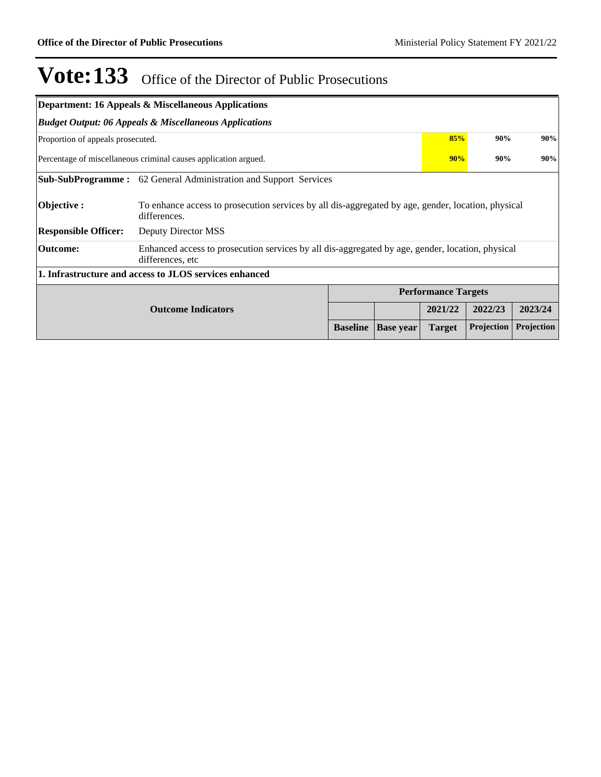|                                   | <b>Department: 16 Appeals &amp; Miscellaneous Applications</b>                                                       |                 |                  |                            |            |            |  |  |
|-----------------------------------|----------------------------------------------------------------------------------------------------------------------|-----------------|------------------|----------------------------|------------|------------|--|--|
|                                   | <b>Budget Output: 06 Appeals &amp; Miscellaneous Applications</b>                                                    |                 |                  |                            |            |            |  |  |
| Proportion of appeals prosecuted. |                                                                                                                      |                 |                  |                            | 85%<br>90% | 90%        |  |  |
|                                   | Percentage of miscellaneous criminal causes application argued.                                                      |                 |                  | 90%                        | 90%        | 90%        |  |  |
|                                   | <b>Sub-SubProgramme:</b> 62 General Administration and Support Services                                              |                 |                  |                            |            |            |  |  |
| Objective :                       | To enhance access to prosecution services by all dis-aggregated by age, gender, location, physical<br>differences.   |                 |                  |                            |            |            |  |  |
| <b>Responsible Officer:</b>       | Deputy Director MSS                                                                                                  |                 |                  |                            |            |            |  |  |
| <b>Outcome:</b>                   | Enhanced access to prosecution services by all dis-aggregated by age, gender, location, physical<br>differences, etc |                 |                  |                            |            |            |  |  |
|                                   | 1. Infrastructure and access to JLOS services enhanced                                                               |                 |                  |                            |            |            |  |  |
|                                   |                                                                                                                      |                 |                  | <b>Performance Targets</b> |            |            |  |  |
|                                   | <b>Outcome Indicators</b>                                                                                            |                 |                  | 2021/22                    | 2022/23    | 2023/24    |  |  |
|                                   |                                                                                                                      | <b>Baseline</b> | <b>Base year</b> | <b>Target</b>              | Projection | Projection |  |  |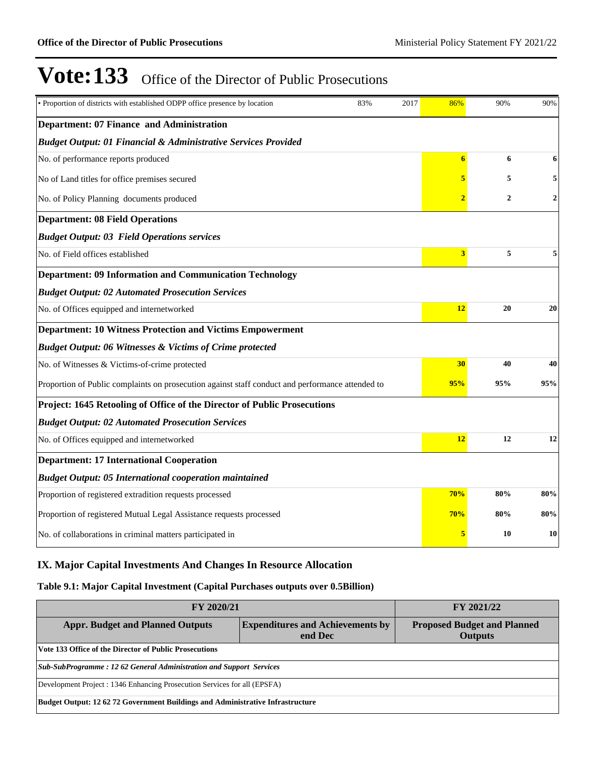| • Proportion of districts with established ODPP office presence by location                      | 83%<br>2017 |     |                 |                | 90%          |
|--------------------------------------------------------------------------------------------------|-------------|-----|-----------------|----------------|--------------|
| Department: 07 Finance and Administration                                                        |             |     |                 |                |              |
| <b>Budget Output: 01 Financial &amp; Administrative Services Provided</b>                        |             |     |                 |                |              |
| No. of performance reports produced                                                              |             |     | $6\phantom{.}6$ | 6              | 6            |
| No of Land titles for office premises secured                                                    |             |     | 5               | 5              | 5            |
| No. of Policy Planning documents produced                                                        |             |     | $\overline{2}$  | $\overline{2}$ | $\mathbf{2}$ |
| <b>Department: 08 Field Operations</b>                                                           |             |     |                 |                |              |
| <b>Budget Output: 03 Field Operations services</b>                                               |             |     |                 |                |              |
| No. of Field offices established                                                                 |             |     | 3 <sup>1</sup>  | 5              | 5            |
| <b>Department: 09 Information and Communication Technology</b>                                   |             |     |                 |                |              |
| <b>Budget Output: 02 Automated Prosecution Services</b>                                          |             |     |                 |                |              |
| No. of Offices equipped and internetworked                                                       |             |     | 12              | 20             | 20           |
| <b>Department: 10 Witness Protection and Victims Empowerment</b>                                 |             |     |                 |                |              |
| <b>Budget Output: 06 Witnesses &amp; Victims of Crime protected</b>                              |             |     |                 |                |              |
| No. of Witnesses & Victims-of-crime protected                                                    |             |     | 30              | 40             | 40           |
| Proportion of Public complaints on prosecution against staff conduct and performance attended to |             |     | 95%             | 95%            | 95%          |
| Project: 1645 Retooling of Office of the Director of Public Prosecutions                         |             |     |                 |                |              |
| <b>Budget Output: 02 Automated Prosecution Services</b>                                          |             |     |                 |                |              |
| No. of Offices equipped and internetworked                                                       |             |     | 12              | 12             | 12           |
| <b>Department: 17 International Cooperation</b>                                                  |             |     |                 |                |              |
| <b>Budget Output: 05 International cooperation maintained</b>                                    |             |     |                 |                |              |
| Proportion of registered extradition requests processed                                          |             |     | 70%             | 80%            | 80%          |
| Proportion of registered Mutual Legal Assistance requests processed                              |             | 70% | 80%             | 80%            |              |
| No. of collaborations in criminal matters participated in                                        |             |     |                 | 10             | 10           |

### **IX. Major Capital Investments And Changes In Resource Allocation**

### **Table 9.1: Major Capital Investment (Capital Purchases outputs over 0.5Billion)**

| <b>FY 2020/21</b>                                                                  | FY 2021/22                                                                     |  |  |  |  |  |
|------------------------------------------------------------------------------------|--------------------------------------------------------------------------------|--|--|--|--|--|
| <b>Expenditures and Achievements by</b><br><b>Appr. Budget and Planned Outputs</b> | <b>Proposed Budget and Planned</b><br><b>Outputs</b>                           |  |  |  |  |  |
| Vote 133 Office of the Director of Public Prosecutions                             |                                                                                |  |  |  |  |  |
| Sub-SubProgramme: 12 62 General Administration and Support Services                |                                                                                |  |  |  |  |  |
| Development Project : 1346 Enhancing Prosecution Services for all (EPSFA)          |                                                                                |  |  |  |  |  |
|                                                                                    | Budget Output: 12 62 72 Government Buildings and Administrative Infrastructure |  |  |  |  |  |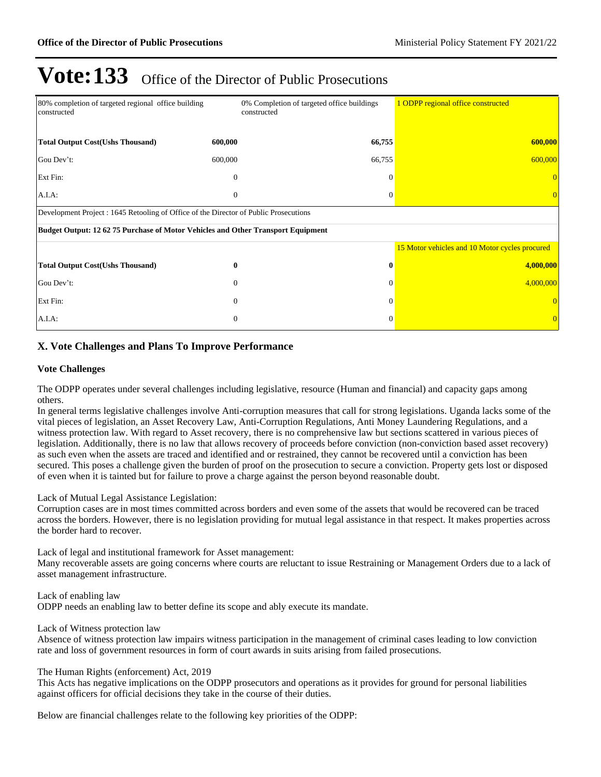| 80% completion of targeted regional office building<br>constructed                    |              | 0% Completion of targeted office buildings<br>constructed | 1 ODPP regional office constructed             |  |  |  |  |
|---------------------------------------------------------------------------------------|--------------|-----------------------------------------------------------|------------------------------------------------|--|--|--|--|
| <b>Total Output Cost(Ushs Thousand)</b>                                               | 600,000      | 66,755                                                    | 600,000                                        |  |  |  |  |
| Gou Dev't:                                                                            | 600,000      | 66,755                                                    | 600,000                                        |  |  |  |  |
| Ext Fin:                                                                              | $\theta$     | $\Omega$                                                  |                                                |  |  |  |  |
| $A.I.A$ :                                                                             | $\mathbf{0}$ | $\Omega$                                                  |                                                |  |  |  |  |
| Development Project : 1645 Retooling of Office of the Director of Public Prosecutions |              |                                                           |                                                |  |  |  |  |
| Budget Output: 12 62 75 Purchase of Motor Vehicles and Other Transport Equipment      |              |                                                           |                                                |  |  |  |  |
|                                                                                       |              |                                                           | 15 Motor vehicles and 10 Motor cycles procured |  |  |  |  |
| <b>Total Output Cost(Ushs Thousand)</b>                                               | 0            | $\mathbf 0$                                               | 4,000,000                                      |  |  |  |  |
| Gou Dev't:                                                                            | $\Omega$     |                                                           | 4,000,000                                      |  |  |  |  |
| Ext Fin:                                                                              | $\mathbf{0}$ | $\Omega$                                                  |                                                |  |  |  |  |
| A.I.A.                                                                                | $\mathbf{0}$ | $\Omega$                                                  |                                                |  |  |  |  |

### **X. Vote Challenges and Plans To Improve Performance**

#### **Vote Challenges**

The ODPP operates under several challenges including legislative, resource (Human and financial) and capacity gaps among others.

In general terms legislative challenges involve Anti-corruption measures that call for strong legislations. Uganda lacks some of the vital pieces of legislation, an Asset Recovery Law, Anti-Corruption Regulations, Anti Money Laundering Regulations, and a witness protection law. With regard to Asset recovery, there is no comprehensive law but sections scattered in various pieces of legislation. Additionally, there is no law that allows recovery of proceeds before conviction (non-conviction based asset recovery) as such even when the assets are traced and identified and or restrained, they cannot be recovered until a conviction has been secured. This poses a challenge given the burden of proof on the prosecution to secure a conviction. Property gets lost or disposed of even when it is tainted but for failure to prove a charge against the person beyond reasonable doubt.

Lack of Mutual Legal Assistance Legislation:

Corruption cases are in most times committed across borders and even some of the assets that would be recovered can be traced across the borders. However, there is no legislation providing for mutual legal assistance in that respect. It makes properties across the border hard to recover.

Lack of legal and institutional framework for Asset management:

Many recoverable assets are going concerns where courts are reluctant to issue Restraining or Management Orders due to a lack of asset management infrastructure.

Lack of enabling law ODPP needs an enabling law to better define its scope and ably execute its mandate.

Lack of Witness protection law

Absence of witness protection law impairs witness participation in the management of criminal cases leading to low conviction rate and loss of government resources in form of court awards in suits arising from failed prosecutions.

#### The Human Rights (enforcement) Act, 2019

This Acts has negative implications on the ODPP prosecutors and operations as it provides for ground for personal liabilities against officers for official decisions they take in the course of their duties.

Below are financial challenges relate to the following key priorities of the ODPP: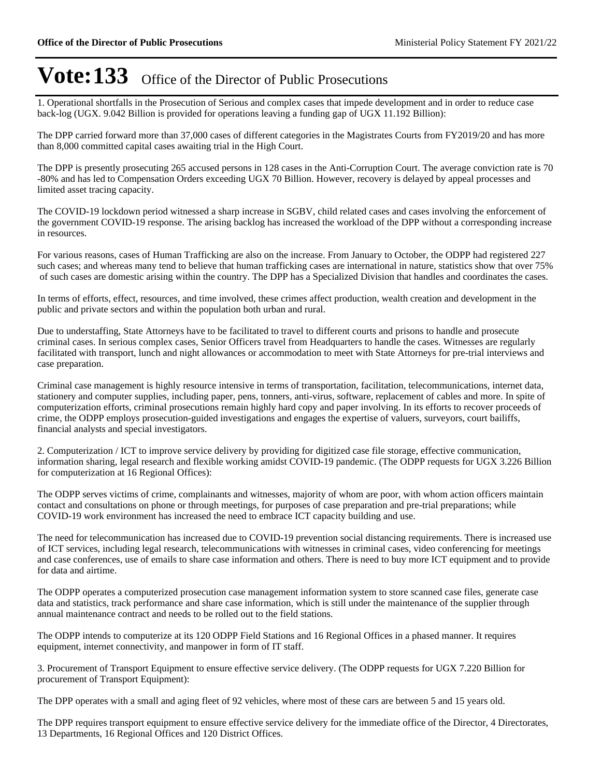1. Operational shortfalls in the Prosecution of Serious and complex cases that impede development and in order to reduce case back-log (UGX. 9.042 Billion is provided for operations leaving a funding gap of UGX 11.192 Billion):

The DPP carried forward more than 37,000 cases of different categories in the Magistrates Courts from FY2019/20 and has more than 8,000 committed capital cases awaiting trial in the High Court.

The DPP is presently prosecuting 265 accused persons in 128 cases in the Anti-Corruption Court. The average conviction rate is 70 -80% and has led to Compensation Orders exceeding UGX 70 Billion. However, recovery is delayed by appeal processes and limited asset tracing capacity.

The COVID-19 lockdown period witnessed a sharp increase in SGBV, child related cases and cases involving the enforcement of the government COVID-19 response. The arising backlog has increased the workload of the DPP without a corresponding increase in resources.

For various reasons, cases of Human Trafficking are also on the increase. From January to October, the ODPP had registered 227 such cases; and whereas many tend to believe that human trafficking cases are international in nature, statistics show that over 75% of such cases are domestic arising within the country. The DPP has a Specialized Division that handles and coordinates the cases.

In terms of efforts, effect, resources, and time involved, these crimes affect production, wealth creation and development in the public and private sectors and within the population both urban and rural.

Due to understaffing, State Attorneys have to be facilitated to travel to different courts and prisons to handle and prosecute criminal cases. In serious complex cases, Senior Officers travel from Headquarters to handle the cases. Witnesses are regularly facilitated with transport, lunch and night allowances or accommodation to meet with State Attorneys for pre-trial interviews and case preparation.

Criminal case management is highly resource intensive in terms of transportation, facilitation, telecommunications, internet data, stationery and computer supplies, including paper, pens, tonners, anti-virus, software, replacement of cables and more. In spite of computerization efforts, criminal prosecutions remain highly hard copy and paper involving. In its efforts to recover proceeds of crime, the ODPP employs prosecution-guided investigations and engages the expertise of valuers, surveyors, court bailiffs, financial analysts and special investigators.

2. Computerization / ICT to improve service delivery by providing for digitized case file storage, effective communication, information sharing, legal research and flexible working amidst COVID-19 pandemic. (The ODPP requests for UGX 3.226 Billion for computerization at 16 Regional Offices):

The ODPP serves victims of crime, complainants and witnesses, majority of whom are poor, with whom action officers maintain contact and consultations on phone or through meetings, for purposes of case preparation and pre-trial preparations; while COVID-19 work environment has increased the need to embrace ICT capacity building and use.

The need for telecommunication has increased due to COVID-19 prevention social distancing requirements. There is increased use of ICT services, including legal research, telecommunications with witnesses in criminal cases, video conferencing for meetings and case conferences, use of emails to share case information and others. There is need to buy more ICT equipment and to provide for data and airtime.

The ODPP operates a computerized prosecution case management information system to store scanned case files, generate case data and statistics, track performance and share case information, which is still under the maintenance of the supplier through annual maintenance contract and needs to be rolled out to the field stations.

The ODPP intends to computerize at its 120 ODPP Field Stations and 16 Regional Offices in a phased manner. It requires equipment, internet connectivity, and manpower in form of IT staff.

3. Procurement of Transport Equipment to ensure effective service delivery. (The ODPP requests for UGX 7.220 Billion for procurement of Transport Equipment):

The DPP operates with a small and aging fleet of 92 vehicles, where most of these cars are between 5 and 15 years old.

The DPP requires transport equipment to ensure effective service delivery for the immediate office of the Director, 4 Directorates, 13 Departments, 16 Regional Offices and 120 District Offices.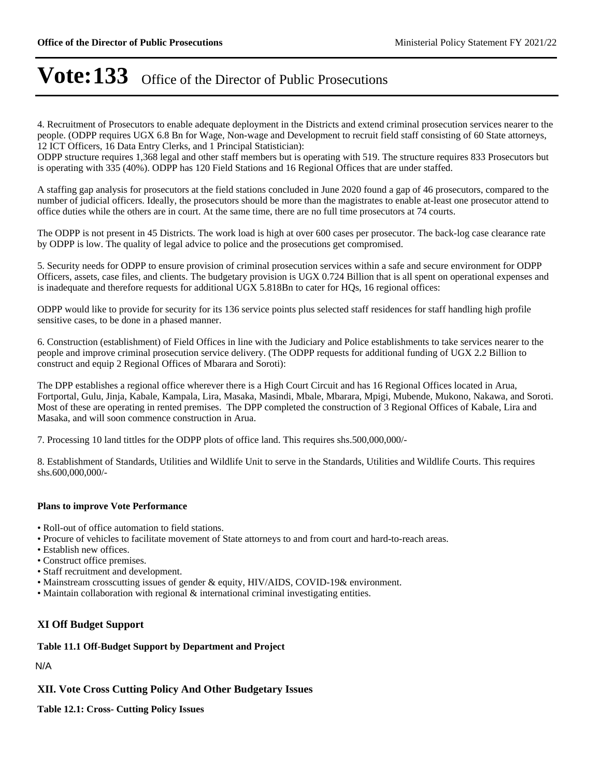4. Recruitment of Prosecutors to enable adequate deployment in the Districts and extend criminal prosecution services nearer to the people. (ODPP requires UGX 6.8 Bn for Wage, Non-wage and Development to recruit field staff consisting of 60 State attorneys, 12 ICT Officers, 16 Data Entry Clerks, and 1 Principal Statistician):

ODPP structure requires 1,368 legal and other staff members but is operating with 519. The structure requires 833 Prosecutors but is operating with 335 (40%). ODPP has 120 Field Stations and 16 Regional Offices that are under staffed.

A staffing gap analysis for prosecutors at the field stations concluded in June 2020 found a gap of 46 prosecutors, compared to the number of judicial officers. Ideally, the prosecutors should be more than the magistrates to enable at-least one prosecutor attend to office duties while the others are in court. At the same time, there are no full time prosecutors at 74 courts.

The ODPP is not present in 45 Districts. The work load is high at over 600 cases per prosecutor. The back-log case clearance rate by ODPP is low. The quality of legal advice to police and the prosecutions get compromised.

5. Security needs for ODPP to ensure provision of criminal prosecution services within a safe and secure environment for ODPP Officers, assets, case files, and clients. The budgetary provision is UGX 0.724 Billion that is all spent on operational expenses and is inadequate and therefore requests for additional UGX 5.818Bn to cater for HQs, 16 regional offices:

ODPP would like to provide for security for its 136 service points plus selected staff residences for staff handling high profile sensitive cases, to be done in a phased manner.

6. Construction (establishment) of Field Offices in line with the Judiciary and Police establishments to take services nearer to the people and improve criminal prosecution service delivery. (The ODPP requests for additional funding of UGX 2.2 Billion to construct and equip 2 Regional Offices of Mbarara and Soroti):

The DPP establishes a regional office wherever there is a High Court Circuit and has 16 Regional Offices located in Arua, Fortportal, Gulu, Jinja, Kabale, Kampala, Lira, Masaka, Masindi, Mbale, Mbarara, Mpigi, Mubende, Mukono, Nakawa, and Soroti. Most of these are operating in rented premises. The DPP completed the construction of 3 Regional Offices of Kabale, Lira and Masaka, and will soon commence construction in Arua.

7. Processing 10 land tittles for the ODPP plots of office land. This requires shs.500,000,000/-

8. Establishment of Standards, Utilities and Wildlife Unit to serve in the Standards, Utilities and Wildlife Courts. This requires shs.600,000,000/-

#### **Plans to improve Vote Performance**

Roll-out of office automation to field stations.

- Procure of vehicles to facilitate movement of State attorneys to and from court and hard-to-reach areas.
- Establish new offices.
- Construct office premises.
- Staff recruitment and development.
- Mainstream crosscutting issues of gender & equity, HIV/AIDS, COVID-19& environment.
- Maintain collaboration with regional & international criminal investigating entities.

### **XI Off Budget Support**

#### **Table 11.1 Off-Budget Support by Department and Project**

N/A

### **XII. Vote Cross Cutting Policy And Other Budgetary Issues**

**Table 12.1: Cross- Cutting Policy Issues**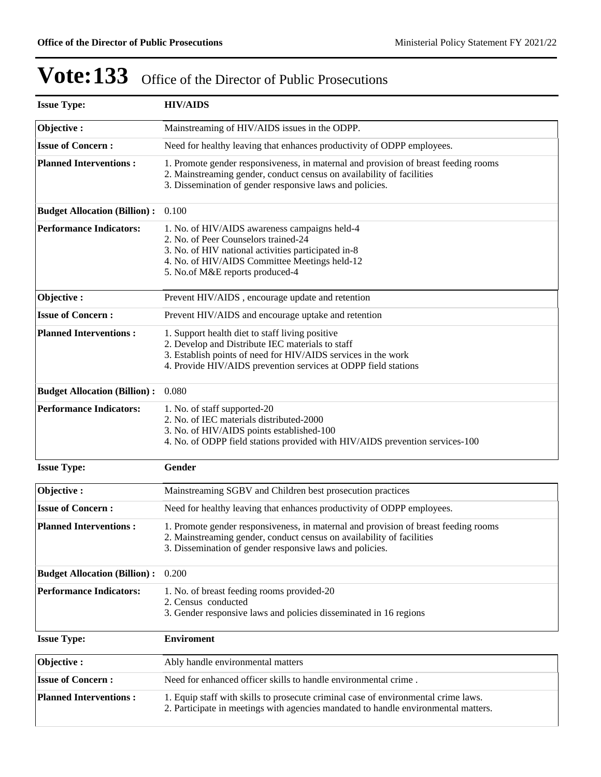| <b>Issue Type:</b>                  | <b>HIV/AIDS</b>                                                                                                                                                                                                                        |
|-------------------------------------|----------------------------------------------------------------------------------------------------------------------------------------------------------------------------------------------------------------------------------------|
| Objective:                          | Mainstreaming of HIV/AIDS issues in the ODPP.                                                                                                                                                                                          |
| <b>Issue of Concern:</b>            | Need for healthy leaving that enhances productivity of ODPP employees.                                                                                                                                                                 |
| <b>Planned Interventions:</b>       | 1. Promote gender responsiveness, in maternal and provision of breast feeding rooms<br>2. Mainstreaming gender, conduct census on availability of facilities<br>3. Dissemination of gender responsive laws and policies.               |
| <b>Budget Allocation (Billion):</b> | 0.100                                                                                                                                                                                                                                  |
| <b>Performance Indicators:</b>      | 1. No. of HIV/AIDS awareness campaigns held-4<br>2. No. of Peer Counselors trained-24<br>3. No. of HIV national activities participated in-8<br>4. No. of HIV/AIDS Committee Meetings held-12<br>5. No.of M&E reports produced-4       |
| Objective:                          | Prevent HIV/AIDS, encourage update and retention                                                                                                                                                                                       |
| <b>Issue of Concern:</b>            | Prevent HIV/AIDS and encourage uptake and retention                                                                                                                                                                                    |
| <b>Planned Interventions:</b>       | 1. Support health diet to staff living positive<br>2. Develop and Distribute IEC materials to staff<br>3. Establish points of need for HIV/AIDS services in the work<br>4. Provide HIV/AIDS prevention services at ODPP field stations |
| <b>Budget Allocation (Billion):</b> | 0.080                                                                                                                                                                                                                                  |
| <b>Performance Indicators:</b>      | 1. No. of staff supported-20<br>2. No. of IEC materials distributed-2000<br>3. No. of HIV/AIDS points established-100<br>4. No. of ODPP field stations provided with HIV/AIDS prevention services-100                                  |
| <b>Issue Type:</b>                  | Gender                                                                                                                                                                                                                                 |
| Objective:                          | Mainstreaming SGBV and Children best prosecution practices                                                                                                                                                                             |
| <b>Issue of Concern:</b>            | Need for healthy leaving that enhances productivity of ODPP employees.                                                                                                                                                                 |
| <b>Planned Interventions:</b>       | 1. Promote gender responsiveness, in maternal and provision of breast feeding rooms<br>2. Mainstreaming gender, conduct census on availability of facilities<br>3. Dissemination of gender responsive laws and policies.               |
| <b>Budget Allocation (Billion):</b> | 0.200                                                                                                                                                                                                                                  |
| <b>Performance Indicators:</b>      | 1. No. of breast feeding rooms provided-20<br>2. Census conducted<br>3. Gender responsive laws and policies disseminated in 16 regions                                                                                                 |
| <b>Issue Type:</b>                  | <b>Enviroment</b>                                                                                                                                                                                                                      |
| Objective:                          | Ably handle environmental matters                                                                                                                                                                                                      |
| <b>Issue of Concern:</b>            | Need for enhanced officer skills to handle environmental crime.                                                                                                                                                                        |
| <b>Planned Interventions:</b>       | 1. Equip staff with skills to prosecute criminal case of environmental crime laws.<br>2. Participate in meetings with agencies mandated to handle environmental matters.                                                               |